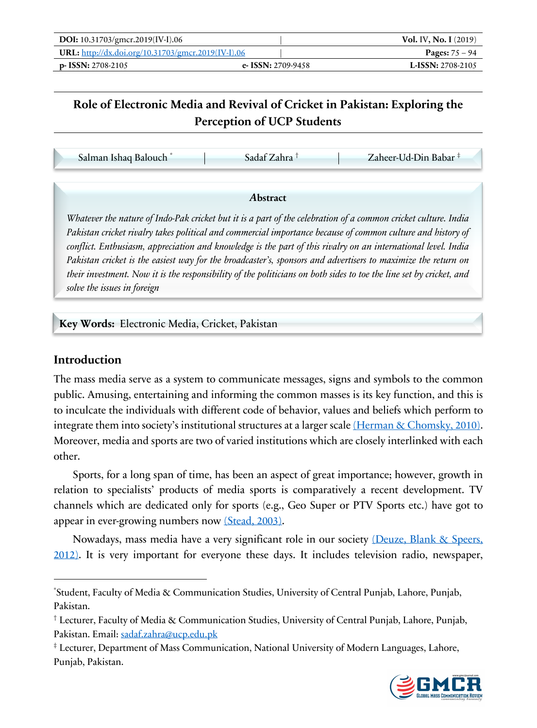| DOI: 10.31703/gmcr.2019(IV-I).06                          |                      | <b>Vol. IV, No. I</b> $(2019)$ |
|-----------------------------------------------------------|----------------------|--------------------------------|
| <b>URL:</b> http://dx.doi.org/10.31703/gmcr.2019(IV-I).06 |                      | <b>Pages:</b> $75 - 94$        |
| $p-$ ISSN: 2708-2105                                      | e- ISSN: $2709-9458$ | <b>L-ISSN:</b> 2708-2105       |

# **Role of Electronic Media and Revival of Cricket in Pakistan: Exploring the Perception of UCP Students**

| Salman Ishaq Balouch <sup>*</sup> | Sadaf Zahra † | Zaheer-Ud-Din Babar <sup>‡</sup> |
|-----------------------------------|---------------|----------------------------------|
|-----------------------------------|---------------|----------------------------------|

#### *A***bstract**

*Whatever the nature of Indo-Pak cricket but it is a part of the celebration of a common cricket culture. India Pakistan cricket rivalry takes political and commercial importance because of common culture and history of conflict. Enthusiasm, appreciation and knowledge is the part of this rivalry on an international level. India Pakistan cricket is the easiest way for the broadcaster's, sponsors and advertisers to maximize the return on their investment. Now it is the responsibility of the politicians on both sides to toe the line set by cricket, and solve the issues in foreign*

**Key Words:** Electronic Media, Cricket, Pakistan

#### **Introduction**

The mass media serve as a system to communicate messages, signs and symbols to the common public. Amusing, entertaining and informing the common masses is its key function, and this is to inculcate the individuals with different code of behavior, values and beliefs which perform to integrate them into society's institutional structures at a larger scale (Herman & Chomsky, 2010). Moreover, media and sports are two of varied institutions which are closely interlinked with each other.

Sports, for a long span of time, has been an aspect of great importance; however, growth in relation to specialists' products of media sports is comparatively a recent development. TV channels which are dedicated only for sports (e.g., Geo Super or PTV Sports etc.) have got to appear in ever-growing numbers now (Stead, 2003).

Nowadays, mass media have a very significant role in our society (Deuze, Blank & Speers, 2012). It is very important for everyone these days. It includes television radio, newspaper,

<sup>‡</sup> Lecturer, Department of Mass Communication, National University of Modern Languages, Lahore, Punjab, Pakistan.



<sup>\*</sup> Student, Faculty of Media & Communication Studies, University of Central Punjab, Lahore, Punjab, Pakistan.

<sup>†</sup> Lecturer, Faculty of Media & Communication Studies, University of Central Punjab, Lahore, Punjab, Pakistan. Email: sadaf.zahra@ucp.edu.pk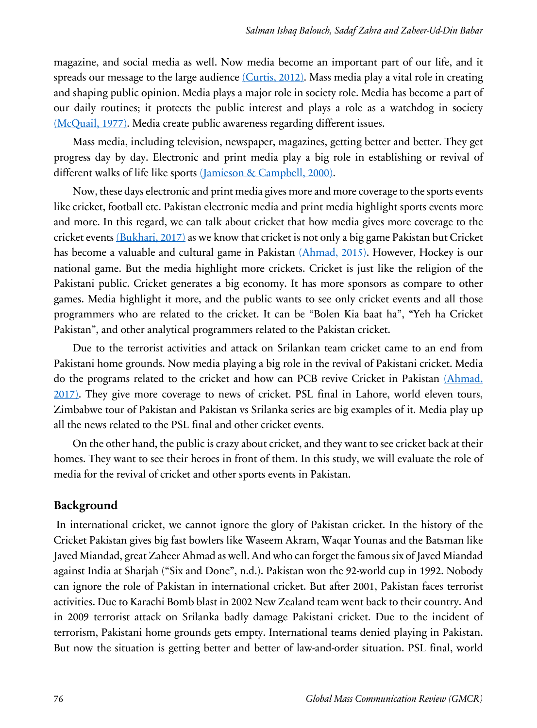magazine, and social media as well. Now media become an important part of our life, and it spreads our message to the large audience (Curtis, 2012). Mass media play a vital role in creating and shaping public opinion. Media plays a major role in society role. Media has become a part of our daily routines; it protects the public interest and plays a role as a watchdog in society (McQuail, 1977). Media create public awareness regarding different issues.

Mass media, including television, newspaper, magazines, getting better and better. They get progress day by day. Electronic and print media play a big role in establishing or revival of different walks of life like sports (Jamieson & Campbell, 2000).

Now, these days electronic and print media gives more and more coverage to the sports events like cricket, football etc. Pakistan electronic media and print media highlight sports events more and more. In this regard, we can talk about cricket that how media gives more coverage to the cricket events  $(Bukhari, 2017)$  as we know that cricket is not only a big game Pakistan but Cricket has become a valuable and cultural game in Pakistan (Ahmad, 2015). However, Hockey is our national game. But the media highlight more crickets. Cricket is just like the religion of the Pakistani public. Cricket generates a big economy. It has more sponsors as compare to other games. Media highlight it more, and the public wants to see only cricket events and all those programmers who are related to the cricket. It can be "Bolen Kia baat ha", "Yeh ha Cricket Pakistan", and other analytical programmers related to the Pakistan cricket.

Due to the terrorist activities and attack on Srilankan team cricket came to an end from Pakistani home grounds. Now media playing a big role in the revival of Pakistani cricket. Media do the programs related to the cricket and how can PCB revive Cricket in Pakistan (Ahmad, 2017). They give more coverage to news of cricket. PSL final in Lahore, world eleven tours, Zimbabwe tour of Pakistan and Pakistan vs Srilanka series are big examples of it. Media play up all the news related to the PSL final and other cricket events.

On the other hand, the public is crazy about cricket, and they want to see cricket back at their homes. They want to see their heroes in front of them. In this study, we will evaluate the role of media for the revival of cricket and other sports events in Pakistan.

#### **Background**

In international cricket, we cannot ignore the glory of Pakistan cricket. In the history of the Cricket Pakistan gives big fast bowlers like Waseem Akram, Waqar Younas and the Batsman like Javed Miandad, great Zaheer Ahmad as well. And who can forget the famous six of Javed Miandad against India at Sharjah ("Six and Done", n.d.). Pakistan won the 92-world cup in 1992. Nobody can ignore the role of Pakistan in international cricket. But after 2001, Pakistan faces terrorist activities. Due to Karachi Bomb blast in 2002 New Zealand team went back to their country. And in 2009 terrorist attack on Srilanka badly damage Pakistani cricket. Due to the incident of terrorism, Pakistani home grounds gets empty. International teams denied playing in Pakistan. But now the situation is getting better and better of law-and-order situation. PSL final, world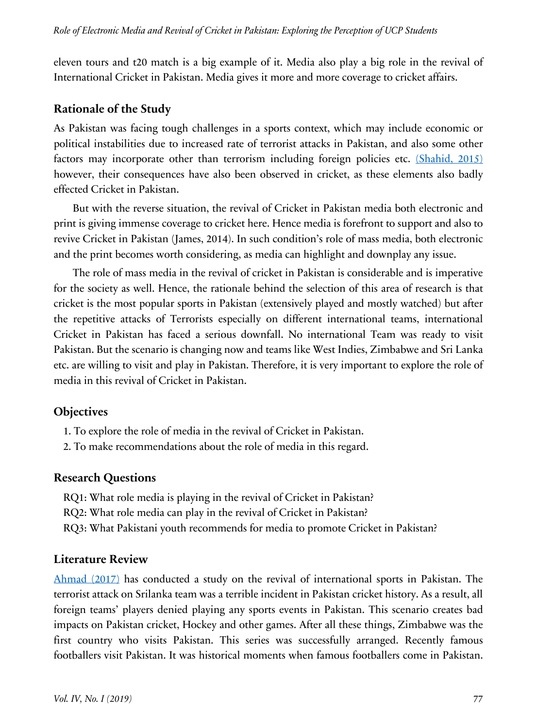eleven tours and t20 match is a big example of it. Media also play a big role in the revival of International Cricket in Pakistan. Media gives it more and more coverage to cricket affairs.

### **Rationale of the Study**

As Pakistan was facing tough challenges in a sports context, which may include economic or political instabilities due to increased rate of terrorist attacks in Pakistan, and also some other factors may incorporate other than terrorism including foreign policies etc. (Shahid, 2015) however, their consequences have also been observed in cricket, as these elements also badly effected Cricket in Pakistan.

But with the reverse situation, the revival of Cricket in Pakistan media both electronic and print is giving immense coverage to cricket here. Hence media is forefront to support and also to revive Cricket in Pakistan (James, 2014). In such condition's role of mass media, both electronic and the print becomes worth considering, as media can highlight and downplay any issue.

The role of mass media in the revival of cricket in Pakistan is considerable and is imperative for the society as well. Hence, the rationale behind the selection of this area of research is that cricket is the most popular sports in Pakistan (extensively played and mostly watched) but after the repetitive attacks of Terrorists especially on different international teams, international Cricket in Pakistan has faced a serious downfall. No international Team was ready to visit Pakistan. But the scenario is changing now and teams like West Indies, Zimbabwe and Sri Lanka etc. are willing to visit and play in Pakistan. Therefore, it is very important to explore the role of media in this revival of Cricket in Pakistan.

# **Objectives**

- 1. To explore the role of media in the revival of Cricket in Pakistan.
- 2. To make recommendations about the role of media in this regard.

#### **Research Questions**

- RQ1: What role media is playing in the revival of Cricket in Pakistan?
- RQ2: What role media can play in the revival of Cricket in Pakistan?
- RQ3: What Pakistani youth recommends for media to promote Cricket in Pakistan?

# **Literature Review**

Ahmad (2017) has conducted a study on the revival of international sports in Pakistan. The terrorist attack on Srilanka team was a terrible incident in Pakistan cricket history. As a result, all foreign teams' players denied playing any sports events in Pakistan. This scenario creates bad impacts on Pakistan cricket, Hockey and other games. After all these things, Zimbabwe was the first country who visits Pakistan. This series was successfully arranged. Recently famous footballers visit Pakistan. It was historical moments when famous footballers come in Pakistan.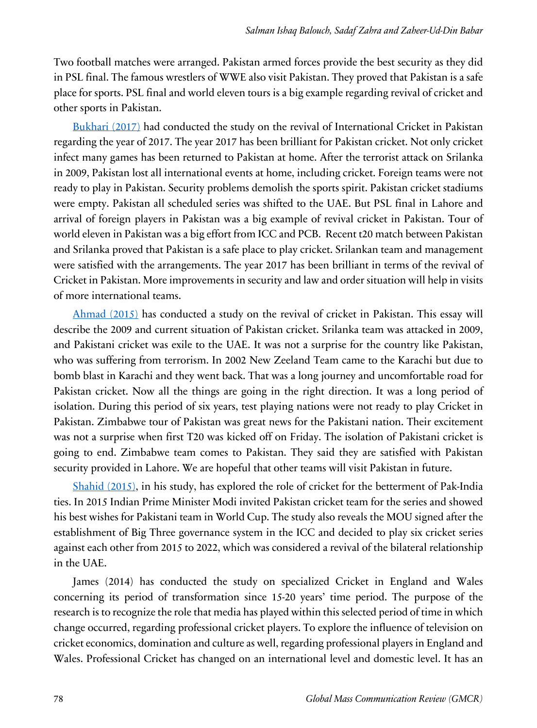Two football matches were arranged. Pakistan armed forces provide the best security as they did in PSL final. The famous wrestlers of WWE also visit Pakistan. They proved that Pakistan is a safe place for sports. PSL final and world eleven tours is a big example regarding revival of cricket and other sports in Pakistan.

Bukhari (2017) had conducted the study on the revival of International Cricket in Pakistan regarding the year of 2017. The year 2017 has been brilliant for Pakistan cricket. Not only cricket infect many games has been returned to Pakistan at home. After the terrorist attack on Srilanka in 2009, Pakistan lost all international events at home, including cricket. Foreign teams were not ready to play in Pakistan. Security problems demolish the sports spirit. Pakistan cricket stadiums were empty. Pakistan all scheduled series was shifted to the UAE. But PSL final in Lahore and arrival of foreign players in Pakistan was a big example of revival cricket in Pakistan. Tour of world eleven in Pakistan was a big effort from ICC and PCB. Recent t20 match between Pakistan and Srilanka proved that Pakistan is a safe place to play cricket. Srilankan team and management were satisfied with the arrangements. The year 2017 has been brilliant in terms of the revival of Cricket in Pakistan. More improvements in security and law and order situation will help in visits of more international teams.

Ahmad (2015) has conducted a study on the revival of cricket in Pakistan. This essay will describe the 2009 and current situation of Pakistan cricket. Srilanka team was attacked in 2009, and Pakistani cricket was exile to the UAE. It was not a surprise for the country like Pakistan, who was suffering from terrorism. In 2002 New Zeeland Team came to the Karachi but due to bomb blast in Karachi and they went back. That was a long journey and uncomfortable road for Pakistan cricket. Now all the things are going in the right direction. It was a long period of isolation. During this period of six years, test playing nations were not ready to play Cricket in Pakistan. Zimbabwe tour of Pakistan was great news for the Pakistani nation. Their excitement was not a surprise when first T20 was kicked off on Friday. The isolation of Pakistani cricket is going to end. Zimbabwe team comes to Pakistan. They said they are satisfied with Pakistan security provided in Lahore. We are hopeful that other teams will visit Pakistan in future.

Shahid (2015), in his study, has explored the role of cricket for the betterment of Pak-India ties. In 2015 Indian Prime Minister Modi invited Pakistan cricket team for the series and showed his best wishes for Pakistani team in World Cup. The study also reveals the MOU signed after the establishment of Big Three governance system in the ICC and decided to play six cricket series against each other from 2015 to 2022, which was considered a revival of the bilateral relationship in the UAE.

James (2014) has conducted the study on specialized Cricket in England and Wales concerning its period of transformation since 15-20 years' time period. The purpose of the research is to recognize the role that media has played within this selected period of time in which change occurred, regarding professional cricket players. To explore the influence of television on cricket economics, domination and culture as well, regarding professional players in England and Wales. Professional Cricket has changed on an international level and domestic level. It has an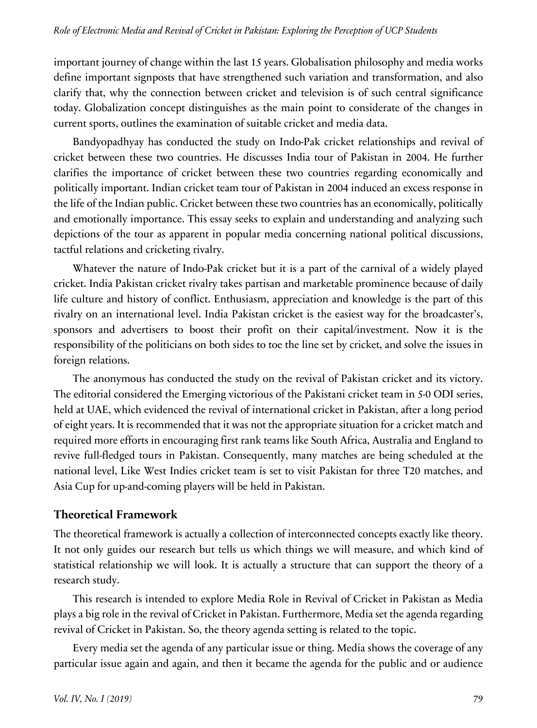important journey of change within the last 15 years. Globalisation philosophy and media works define important signposts that have strengthened such variation and transformation, and also clarify that, why the connection between cricket and television is of such central significance today. Globalization concept distinguishes as the main point to considerate of the changes in current sports, outlines the examination of suitable cricket and media data.

Bandyopadhyay has conducted the study on Indo-Pak cricket relationships and revival of cricket between these two countries. He discusses India tour of Pakistan in 2004. He further clarifies the importance of cricket between these two countries regarding economically and politically important. Indian cricket team tour of Pakistan in 2004 induced an excess response in the life of the Indian public. Cricket between these two countries has an economically, politically and emotionally importance. This essay seeks to explain and understanding and analyzing such depictions of the tour as apparent in popular media concerning national political discussions, tactful relations and cricketing rivalry.

Whatever the nature of Indo-Pak cricket but it is a part of the carnival of a widely played cricket. India Pakistan cricket rivalry takes partisan and marketable prominence because of daily life culture and history of conflict. Enthusiasm, appreciation and knowledge is the part of this rivalry on an international level. India Pakistan cricket is the easiest way for the broadcaster's, sponsors and advertisers to boost their profit on their capital/investment. Now it is the responsibility of the politicians on both sides to toe the line set by cricket, and solve the issues in foreign relations.

The anonymous has conducted the study on the revival of Pakistan cricket and its victory. The editorial considered the Emerging victorious of the Pakistani cricket team in 5-0 ODI series, held at UAE, which evidenced the revival of international cricket in Pakistan, after a long period of eight years. It is recommended that it was not the appropriate situation for a cricket match and required more efforts in encouraging first rank teams like South Africa, Australia and England to revive full-fledged tours in Pakistan. Consequently, many matches are being scheduled at the national level, Like West Indies cricket team is set to visit Pakistan for three T20 matches, and Asia Cup for up-and-coming players will be held in Pakistan.

#### **Theoretical Framework**

The theoretical framework is actually a collection of interconnected concepts exactly like theory. It not only guides our research but tells us which things we will measure, and which kind of statistical relationship we will look. It is actually a structure that can support the theory of a research study.

This research is intended to explore Media Role in Revival of Cricket in Pakistan as Media plays a big role in the revival of Cricket in Pakistan. Furthermore, Media set the agenda regarding revival of Cricket in Pakistan. So, the theory agenda setting is related to the topic.

Every media set the agenda of any particular issue or thing. Media shows the coverage of any particular issue again and again, and then it became the agenda for the public and or audience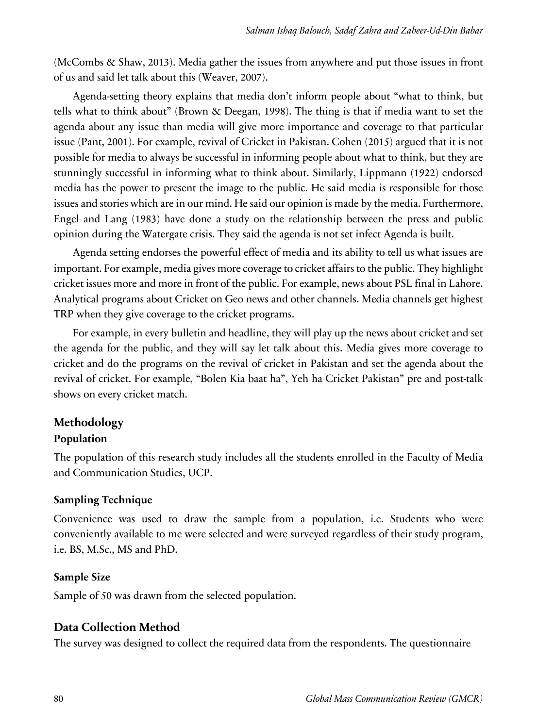(McCombs & Shaw, 2013). Media gather the issues from anywhere and put those issues in front of us and said let talk about this (Weaver, 2007).

Agenda-setting theory explains that media don't inform people about "what to think, but tells what to think about" (Brown & Deegan, 1998). The thing is that if media want to set the agenda about any issue than media will give more importance and coverage to that particular issue (Pant, 2001). For example, revival of Cricket in Pakistan. Cohen (2015) argued that it is not possible for media to always be successful in informing people about what to think, but they are stunningly successful in informing what to think about. Similarly, Lippmann (1922) endorsed media has the power to present the image to the public. He said media is responsible for those issues and stories which are in our mind. He said our opinion is made by the media. Furthermore, Engel and Lang (1983) have done a study on the relationship between the press and public opinion during the Watergate crisis. They said the agenda is not set infect Agenda is built.

Agenda setting endorses the powerful effect of media and its ability to tell us what issues are important. For example, media gives more coverage to cricket affairs to the public. They highlight cricket issues more and more in front of the public. For example, news about PSL final in Lahore. Analytical programs about Cricket on Geo news and other channels. Media channels get highest TRP when they give coverage to the cricket programs.

For example, in every bulletin and headline, they will play up the news about cricket and set the agenda for the public, and they will say let talk about this. Media gives more coverage to cricket and do the programs on the revival of cricket in Pakistan and set the agenda about the revival of cricket. For example, "Bolen Kia baat ha", Yeh ha Cricket Pakistan" pre and post-talk shows on every cricket match.

#### **Methodology**

#### **Population**

The population of this research study includes all the students enrolled in the Faculty of Media and Communication Studies, UCP.

#### **Sampling Technique**

Convenience was used to draw the sample from a population, i.e. Students who were conveniently available to me were selected and were surveyed regardless of their study program, i.e. BS, M.Sc., MS and PhD.

#### **Sample Size**

Sample of 50 was drawn from the selected population.

#### **Data Collection Method**

The survey was designed to collect the required data from the respondents. The questionnaire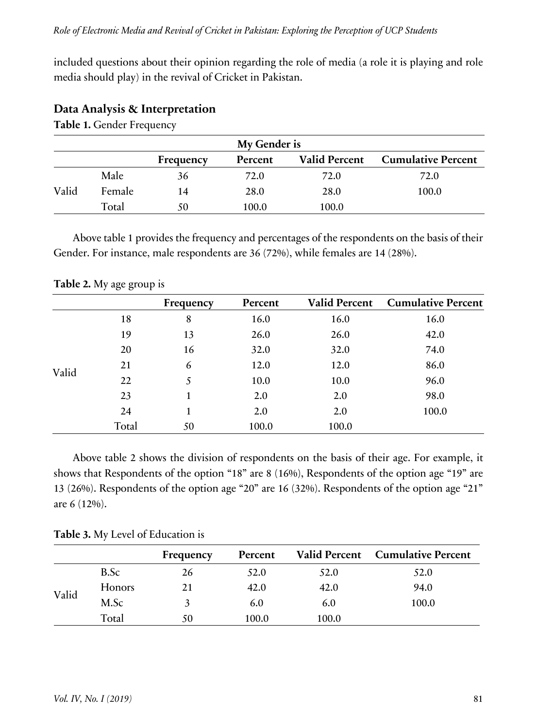included questions about their opinion regarding the role of media (a role it is playing and role media should play) in the revival of Cricket in Pakistan.

| My Gender is |        |           |         |                      |                           |  |
|--------------|--------|-----------|---------|----------------------|---------------------------|--|
|              |        | Frequency | Percent | <b>Valid Percent</b> | <b>Cumulative Percent</b> |  |
|              | Male   | 36        | 72.0    | 72.0                 | 72.0                      |  |
| Valid        | Female | 14        | 28.0    | 28.0                 | 100.0                     |  |
|              | Total  | 50        | 100.0   | 100.0                |                           |  |

### **Data Analysis & Interpretation**

**Table 1.** Gender Frequency

Above table 1 provides the frequency and percentages of the respondents on the basis of their Gender. For instance, male respondents are 36 (72%), while females are 14 (28%).

|       |       | Frequency | Percent | <b>Valid Percent</b> | <b>Cumulative Percent</b> |
|-------|-------|-----------|---------|----------------------|---------------------------|
|       | 18    | 8         | 16.0    | 16.0                 | 16.0                      |
|       | 19    | 13        | 26.0    | 26.0                 | 42.0                      |
|       | 20    | 16        | 32.0    | 32.0                 | 74.0                      |
|       | 21    | 6         | 12.0    | 12.0                 | 86.0                      |
| Valid | 22    | 5         | 10.0    | 10.0                 | 96.0                      |
|       | 23    |           | 2.0     | 2.0                  | 98.0                      |
|       | 24    | 1         | 2.0     | 2.0                  | 100.0                     |
|       | Total | 50        | 100.0   | 100.0                |                           |

**Table 2.** My age group is

Above table 2 shows the division of respondents on the basis of their age. For example, it shows that Respondents of the option "18" are 8 (16%), Respondents of the option age "19" are 13 (26%). Respondents of the option age "20" are 16 (32%). Respondents of the option age "21" are 6 (12%).

|  |  |  |  | Table 3. My Level of Education is |  |
|--|--|--|--|-----------------------------------|--|
|--|--|--|--|-----------------------------------|--|

|       |        | Frequency | Percent |       | Valid Percent Cumulative Percent |
|-------|--------|-----------|---------|-------|----------------------------------|
| Valid | B.Sc   | 26        | 52.0    | 52.0  | 52.0                             |
|       | Honors | 21        | 42.0    | 42.0  | 94.0                             |
|       | M.Sc   |           | 6.0     | 6.0   | 100.0                            |
|       | Total  | 50        | 100.0   | 100.0 |                                  |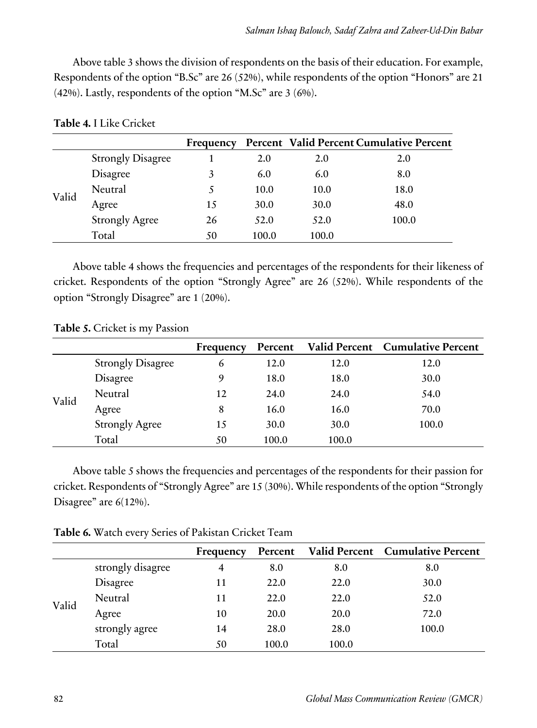Above table 3 shows the division of respondents on the basis of their education. For example, Respondents of the option "B.Sc" are 26 (52%), while respondents of the option "Honors" are 21 (42%). Lastly, respondents of the option "M.Sc" are 3 (6%).

|       |                          | Frequency |       |       | Percent Valid Percent Cumulative Percent |
|-------|--------------------------|-----------|-------|-------|------------------------------------------|
|       | <b>Strongly Disagree</b> |           | 2.0   | 2.0   | 2.0                                      |
|       | Disagree                 | 3         | 6.0   | 6.0   | 8.0                                      |
| Valid | Neutral                  |           | 10.0  | 10.0  | 18.0                                     |
|       | Agree                    | 15        | 30.0  | 30.0  | 48.0                                     |
|       | <b>Strongly Agree</b>    | 26        | 52.0  | 52.0  | 100.0                                    |
|       | Total                    | 50        | 100.0 | 100.0 |                                          |

**Table 4.** I Like Cricket

Above table 4 shows the frequencies and percentages of the respondents for their likeness of cricket. Respondents of the option "Strongly Agree" are 26 (52%). While respondents of the option "Strongly Disagree" are 1 (20%).

**Table 5.** Cricket is my Passion

|       |                          | Frequency | Percent |       | Valid Percent Cumulative Percent |
|-------|--------------------------|-----------|---------|-------|----------------------------------|
| Valid | <b>Strongly Disagree</b> | 6         | 12.0    | 12.0  | 12.0                             |
|       | Disagree                 | 9         | 18.0    | 18.0  | 30.0                             |
|       | Neutral                  | 12        | 24.0    | 24.0  | 54.0                             |
|       | Agree                    | 8         | 16.0    | 16.0  | 70.0                             |
|       | <b>Strongly Agree</b>    | 15        | 30.0    | 30.0  | 100.0                            |
|       | Total                    | 50        | 100.0   | 100.0 |                                  |

Above table 5 shows the frequencies and percentages of the respondents for their passion for cricket. Respondents of "Strongly Agree" are 15 (30%). While respondents of the option "Strongly Disagree" are 6(12%).

**Table 6.** Watch every Series of Pakistan Cricket Team

|       |                   | Frequency | Percent |       | Valid Percent Cumulative Percent |
|-------|-------------------|-----------|---------|-------|----------------------------------|
| Valid | strongly disagree |           | 8.0     | 8.0   | 8.0                              |
|       | Disagree          | 11        | 22.0    | 22.0  | 30.0                             |
|       | Neutral           | 11        | 22.0    | 22.0  | 52.0                             |
|       | Agree             | 10        | 20.0    | 20.0  | 72.0                             |
|       | strongly agree    | 14        | 28.0    | 28.0  | 100.0                            |
|       | Total             | 50        | 100.0   | 100.0 |                                  |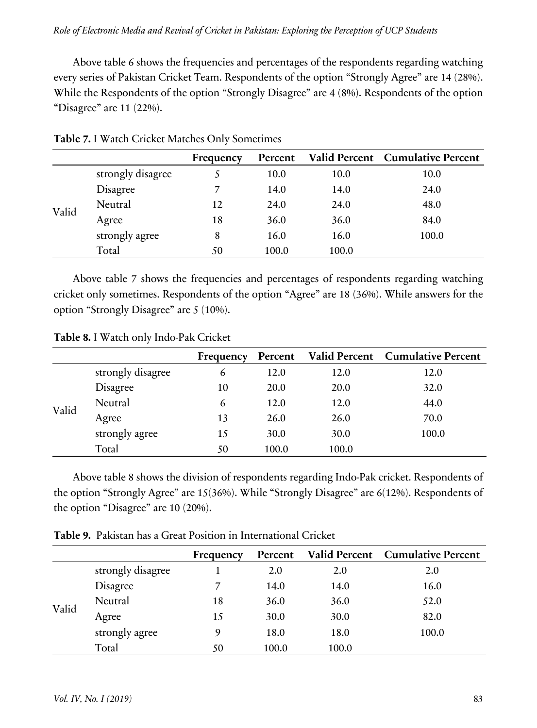Above table 6 shows the frequencies and percentages of the respondents regarding watching every series of Pakistan Cricket Team. Respondents of the option "Strongly Agree" are 14 (28%). While the Respondents of the option "Strongly Disagree" are 4 (8%). Respondents of the option "Disagree" are 11 (22%).

|       |                   | Frequency | Percent |       | Valid Percent Cumulative Percent |
|-------|-------------------|-----------|---------|-------|----------------------------------|
|       | strongly disagree | 5         | 10.0    | 10.0  | 10.0                             |
|       | Disagree          | 7         | 14.0    | 14.0  | 24.0                             |
|       | Neutral           | 12        | 24.0    | 24.0  | 48.0                             |
| Valid | Agree             | 18        | 36.0    | 36.0  | 84.0                             |
|       | strongly agree    | 8         | 16.0    | 16.0  | 100.0                            |
|       | Total             | 50        | 100.0   | 100.0 |                                  |

**Table 7.** I Watch Cricket Matches Only Sometimes

Above table 7 shows the frequencies and percentages of respondents regarding watching cricket only sometimes. Respondents of the option "Agree" are 18 (36%). While answers for the option "Strongly Disagree" are 5 (10%).

**Table 8.** I Watch only Indo-Pak Cricket

|       |                   | Frequency | Percent |       | Valid Percent Cumulative Percent |
|-------|-------------------|-----------|---------|-------|----------------------------------|
| Valid | strongly disagree | 6         | 12.0    | 12.0  | 12.0                             |
|       | Disagree          | 10        | 20.0    | 20.0  | 32.0                             |
|       | Neutral           | 6         | 12.0    | 12.0  | 44.0                             |
|       | Agree             | 13        | 26.0    | 26.0  | 70.0                             |
|       | strongly agree    | 15        | 30.0    | 30.0  | 100.0                            |
|       | Total             | 50        | 100.0   | 100.0 |                                  |

Above table 8 shows the division of respondents regarding Indo-Pak cricket. Respondents of the option "Strongly Agree" are 15(36%). While "Strongly Disagree" are 6(12%). Respondents of the option "Disagree" are 10 (20%).

**Table 9.** Pakistan has a Great Position in International Cricket

|       |                   | Frequency | Percent |       | Valid Percent Cumulative Percent |
|-------|-------------------|-----------|---------|-------|----------------------------------|
| Valid | strongly disagree |           | 2.0     | 2.0   | 2.0                              |
|       | Disagree          |           | 14.0    | 14.0  | 16.0                             |
|       | Neutral           | 18        | 36.0    | 36.0  | 52.0                             |
|       | Agree             | 15        | 30.0    | 30.0  | 82.0                             |
|       | strongly agree    | 9         | 18.0    | 18.0  | 100.0                            |
|       | Total             | 50        | 100.0   | 100.0 |                                  |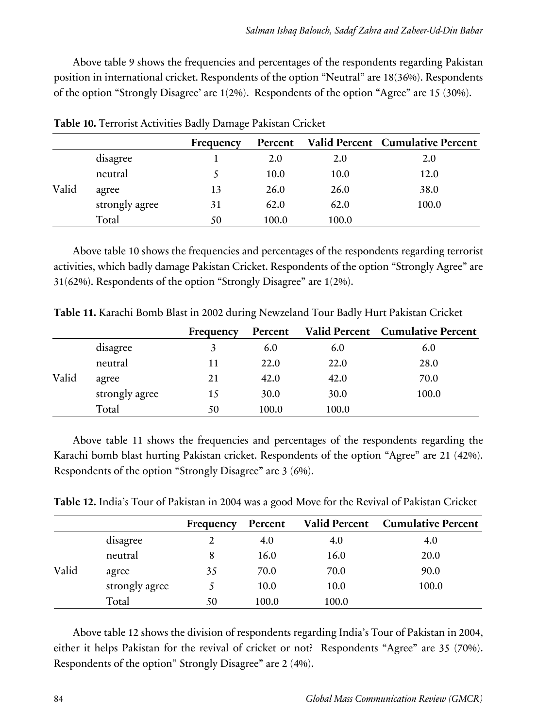Above table 9 shows the frequencies and percentages of the respondents regarding Pakistan position in international cricket. Respondents of the option "Neutral" are 18(36%). Respondents of the option "Strongly Disagree' are 1(2%). Respondents of the option "Agree" are 15 (30%).

|       |                | Frequency | Percent |       | <b>Valid Percent Cumulative Percent</b> |
|-------|----------------|-----------|---------|-------|-----------------------------------------|
|       | disagree       |           | 2.0     | 2.0   | 2.0                                     |
|       | neutral        |           | 10.0    | 10.0  | 12.0                                    |
| Valid | agree          | 13        | 26.0    | 26.0  | 38.0                                    |
|       | strongly agree | 31        | 62.0    | 62.0  | 100.0                                   |
|       | Total          | 50        | 100.0   | 100.0 |                                         |

**Table 10.** Terrorist Activities Badly Damage Pakistan Cricket

Above table 10 shows the frequencies and percentages of the respondents regarding terrorist activities, which badly damage Pakistan Cricket. Respondents of the option "Strongly Agree" are 31(62%). Respondents of the option "Strongly Disagree" are 1(2%).

|       |                | Frequency | Percent |       | Valid Percent Cumulative Percent |
|-------|----------------|-----------|---------|-------|----------------------------------|
|       | disagree       |           | 6.0     | 6.0   | 6.0                              |
|       | neutral        | 11        | 22.0    | 22.0  | 28.0                             |
| Valid | agree          | 21        | 42.0    | 42.0  | 70.0                             |
|       | strongly agree | 15        | 30.0    | 30.0  | 100.0                            |
|       | Total          | 50        | 100.0   | 100.0 |                                  |

**Table 11.** Karachi Bomb Blast in 2002 during Newzeland Tour Badly Hurt Pakistan Cricket

Above table 11 shows the frequencies and percentages of the respondents regarding the Karachi bomb blast hurting Pakistan cricket. Respondents of the option "Agree" are 21 (42%). Respondents of the option "Strongly Disagree" are 3 (6%).

**Table 12.** India's Tour of Pakistan in 2004 was a good Move for the Revival of Pakistan Cricket

| <b>Cumulative Percent</b> |
|---------------------------|
|                           |
| 4.0                       |
| 20.0                      |
| 90.0                      |
| 100.0                     |
|                           |
|                           |

Above table 12 shows the division of respondents regarding India's Tour of Pakistan in 2004, either it helps Pakistan for the revival of cricket or not? Respondents "Agree" are 35 (70%). Respondents of the option" Strongly Disagree" are 2 (4%).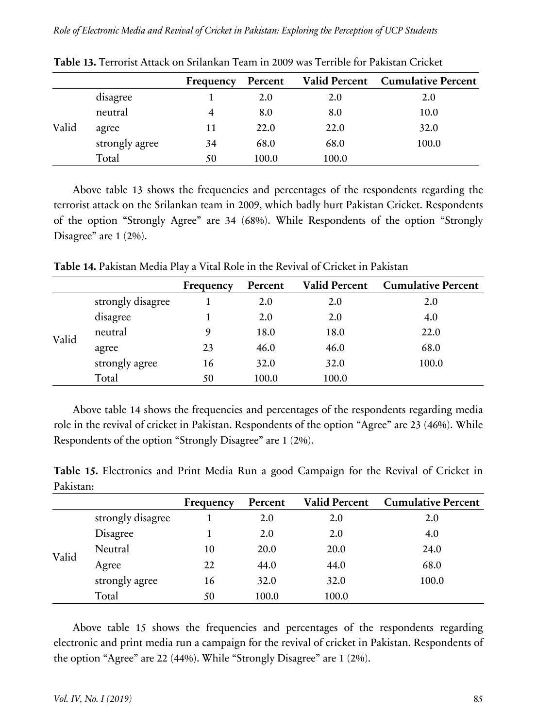|       |                | Frequency | Percent |       | <b>Valid Percent</b> Cumulative Percent |
|-------|----------------|-----------|---------|-------|-----------------------------------------|
|       | disagree       |           | 2.0     | 2.0   | 2.0                                     |
|       | neutral        | 4         | 8.0     | 8.0   | 10.0                                    |
| Valid | agree          | 11        | 22.0    | 22.0  | 32.0                                    |
|       | strongly agree | 34        | 68.0    | 68.0  | 100.0                                   |
|       | Total          | 50        | 100.0   | 100.0 |                                         |

**Table 13.** Terrorist Attack on Srilankan Team in 2009 was Terrible for Pakistan Cricket

Above table 13 shows the frequencies and percentages of the respondents regarding the terrorist attack on the Srilankan team in 2009, which badly hurt Pakistan Cricket. Respondents of the option "Strongly Agree" are 34 (68%). While Respondents of the option "Strongly Disagree" are 1 (2%).

**Frequency Percent Valid Percent Cumulative Percent** Valid strongly disagree 1 2.0 2.0 2.0 disagree 1 2.0 2.0 4.0 neutral 9 18.0 18.0 22.0 agree 23 46.0 46.0 68.0 strongly agree 16 32.0 32.0 100.0 Total 50 100.0 100.0

**Table 14.** Pakistan Media Play a Vital Role in the Revival of Cricket in Pakistan

Above table 14 shows the frequencies and percentages of the respondents regarding media role in the revival of cricket in Pakistan. Respondents of the option "Agree" are 23 (46%). While Respondents of the option "Strongly Disagree" are 1 (2%).

**Table 15.** Electronics and Print Media Run a good Campaign for the Revival of Cricket in Pakistan:

|       |                   | Frequency | Percent | <b>Valid Percent</b> | <b>Cumulative Percent</b> |
|-------|-------------------|-----------|---------|----------------------|---------------------------|
|       | strongly disagree |           | 2.0     | 2.0                  | 2.0                       |
|       | Disagree          |           | 2.0     | 2.0                  | 4.0                       |
|       | Neutral           | 10        | 20.0    | <b>20.0</b>          | 24.0                      |
| Valid | Agree             | 22        | 44.0    | 44.0                 | 68.0                      |
|       | strongly agree    | 16        | 32.0    | 32.0                 | 100.0                     |
|       | Total             | 50        | 100.0   | 100.0                |                           |

Above table 15 shows the frequencies and percentages of the respondents regarding electronic and print media run a campaign for the revival of cricket in Pakistan. Respondents of the option "Agree" are 22 (44%). While "Strongly Disagree" are 1 (2%).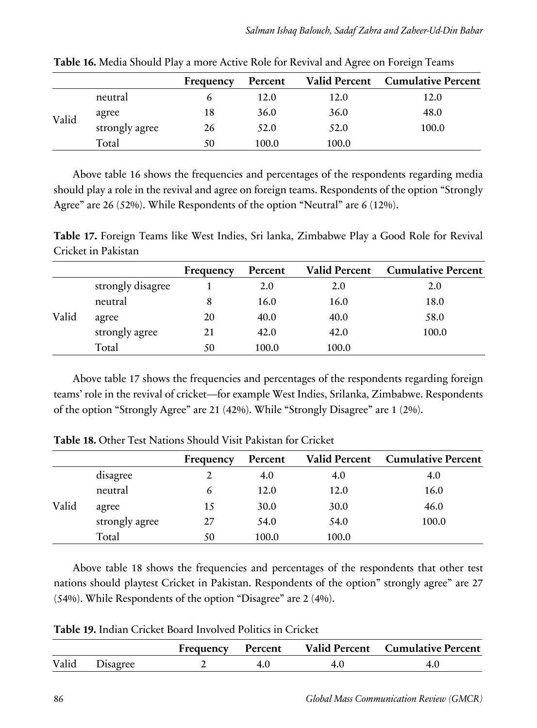|       |                | Frequency | Percent |       | Valid Percent Cumulative Percent |
|-------|----------------|-----------|---------|-------|----------------------------------|
|       | neutral        |           | 12.0    | 12.0  | 12.0                             |
|       | agree          | 18        | 36.0    | 36.0  | 48.0                             |
| Valid | strongly agree | 26        | 52.0    | 52.0  | 100.0                            |
|       | Total          | 50        | 100.0   | 100.0 |                                  |

**Table 16.** Media Should Play a more Active Role for Revival and Agree on Foreign Teams

Above table 16 shows the frequencies and percentages of the respondents regarding media should play a role in the revival and agree on foreign teams. Respondents of the option "Strongly Agree" are 26 (52%). While Respondents of the option "Neutral" are 6 (12%).

**Table 17.** Foreign Teams like West Indies, Sri lanka, Zimbabwe Play a Good Role for Revival Cricket in Pakistan

|       |                   | Frequency | Percent | <b>Valid Percent</b> | <b>Cumulative Percent</b> |
|-------|-------------------|-----------|---------|----------------------|---------------------------|
|       | strongly disagree |           | 2.0     | 2.0                  | 2.0                       |
|       | neutral           |           | 16.0    | 16.0                 | 18.0                      |
| Valid | agree             | 20        | 40.0    | 40.0                 | 58.0                      |
|       | strongly agree    | 21        | 42.0    | 42.0                 | 100.0                     |
|       | Total             | 50        | 100.0   | 100.0                |                           |

Above table 17 shows the frequencies and percentages of the respondents regarding foreign teams' role in the revival of cricket—for example West Indies, Srilanka, Zimbabwe. Respondents of the option "Strongly Agree" are 21 (42%). While "Strongly Disagree" are 1 (2%).

|       |                | Frequency | Percent | <b>Valid Percent</b> | <b>Cumulative Percent</b> |
|-------|----------------|-----------|---------|----------------------|---------------------------|
|       | disagree       |           | 4.0     | 4.0                  | 4.0                       |
|       | neutral        |           | 12.0    | 12.0                 | 16.0                      |
| Valid | agree          | 15        | 30.0    | 30.0                 | 46.0                      |
|       | strongly agree | 27        | 54.0    | 54.0                 | 100.0                     |
|       | Total          | 50        | 100.0   | 100.0                |                           |

**Table 18.** Other Test Nations Should Visit Pakistan for Cricket

Above table 18 shows the frequencies and percentages of the respondents that other test nations should playtest Cricket in Pakistan. Respondents of the option" strongly agree" are 27 (54%). While Respondents of the option "Disagree" are 2 (4%).

**Table 19.** Indian Cricket Board Involved Politics in Cricket

|                | Frequency | Percent | Valid Percent Cumulative Percent |
|----------------|-----------|---------|----------------------------------|
| Valid Disagree |           |         |                                  |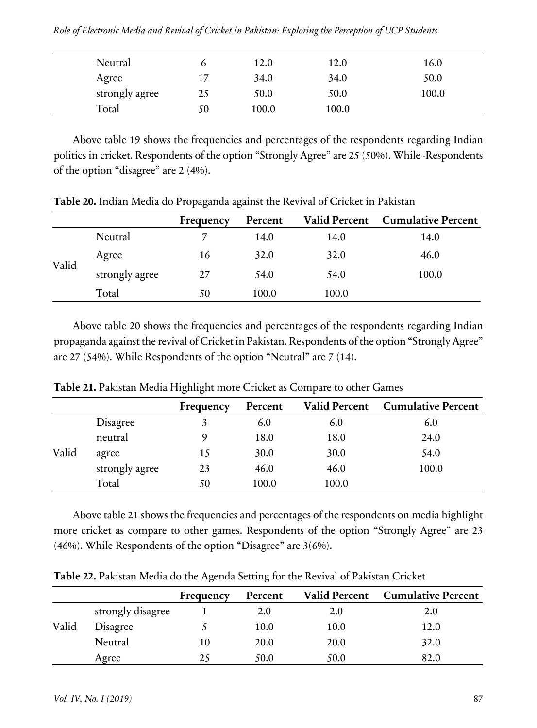|  |  |  |  | Role of Electronic Media and Revival of Cricket in Pakistan: Exploring the Perception of UCP Students |  |
|--|--|--|--|-------------------------------------------------------------------------------------------------------|--|
|  |  |  |  |                                                                                                       |  |

| Neutral        | O  | 12.0  | 12.0  | 16.0  |
|----------------|----|-------|-------|-------|
| Agree          | 17 | 34.0  | 34.0  | 50.0  |
| strongly agree | 25 | 50.0  | 50.0  | 100.0 |
| Total          | 50 | 100.0 | 100.0 |       |

Above table 19 shows the frequencies and percentages of the respondents regarding Indian politics in cricket. Respondents of the option "Strongly Agree" are 25 (50%). While -Respondents of the option "disagree" are 2 (4%).

|       |                | Frequency | Percent | <b>Valid Percent</b> | <b>Cumulative Percent</b> |
|-------|----------------|-----------|---------|----------------------|---------------------------|
|       | Neutral        |           | 14.0    | 14.0                 | 14.0                      |
|       | Agree          | 16        | 32.0    | 32.0                 | 46.0                      |
| Valid | strongly agree | 27        | 54.0    | 54.0                 | 100.0                     |
|       | Total          | 50        | 100.0   | 100.0                |                           |

**Table 20.** Indian Media do Propaganda against the Revival of Cricket in Pakistan

Above table 20 shows the frequencies and percentages of the respondents regarding Indian propaganda against the revival of Cricket in Pakistan. Respondents of the option "Strongly Agree" are 27 (54%). While Respondents of the option "Neutral" are 7 (14).

|       |                | Frequency | Percent | <b>Valid Percent</b> | <b>Cumulative Percent</b> |
|-------|----------------|-----------|---------|----------------------|---------------------------|
|       | Disagree       | 3         | 6.0     | 6.0                  | 6.0                       |
|       | neutral        | 9         | 18.0    | 18.0                 | 24.0                      |
| Valid | agree          | 15        | 30.0    | 30.0                 | 54.0                      |
|       | strongly agree | 23        | 46.0    | 46.0                 | 100.0                     |
|       | Total          | 50        | 100.0   | 100.0                |                           |

**Table 21.** Pakistan Media Highlight more Cricket as Compare to other Games

Above table 21 shows the frequencies and percentages of the respondents on media highlight more cricket as compare to other games. Respondents of the option "Strongly Agree" are 23 (46%). While Respondents of the option "Disagree" are 3(6%).

|       |                   | Frequency | Percent | <b>Valid Percent</b> | <b>Cumulative Percent</b> |
|-------|-------------------|-----------|---------|----------------------|---------------------------|
|       | strongly disagree |           | 2.0     | 2.0                  | 2.0                       |
| Valid | Disagree          |           | 10.0    | 10.0                 | 12.0                      |
|       | Neutral           | 10        | 20.0    | 20.0                 | 32.0                      |
|       | Agree             | 25        | 50.0    | 50.0                 | 82.0                      |

**Table 22.** Pakistan Media do the Agenda Setting for the Revival of Pakistan Cricket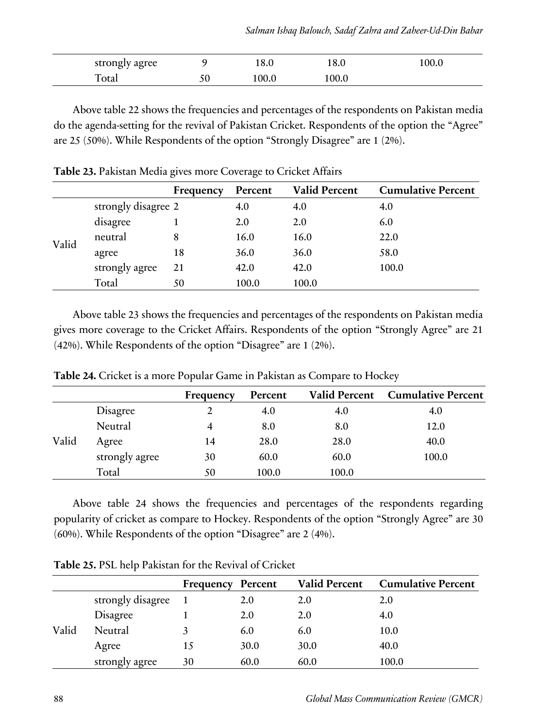| strongly agree |    | 18.0  | 18.0  | 100.0 |
|----------------|----|-------|-------|-------|
| Total          | 50 | 100.0 | 100.0 |       |

Above table 22 shows the frequencies and percentages of the respondents on Pakistan media do the agenda-setting for the revival of Pakistan Cricket. Respondents of the option the "Agree" are 25 (50%). While Respondents of the option "Strongly Disagree" are 1 (2%).

|       |                     | Frequency | Percent | <b>Valid Percent</b> | <b>Cumulative Percent</b> |
|-------|---------------------|-----------|---------|----------------------|---------------------------|
|       | strongly disagree 2 |           | 4.0     | 4.0                  | 4.0                       |
|       | disagree            |           | 2.0     | 2.0                  | 6.0                       |
| Valid | neutral             | 8         | 16.0    | 16.0                 | 22.0                      |
|       | agree               | 18        | 36.0    | 36.0                 | 58.0                      |
|       | strongly agree      | 21        | 42.0    | 42.0                 | 100.0                     |
|       | Total               | 50        | 100.0   | 100.0                |                           |

**Table 23.** Pakistan Media gives more Coverage to Cricket Affairs

Above table 23 shows the frequencies and percentages of the respondents on Pakistan media gives more coverage to the Cricket Affairs. Respondents of the option "Strongly Agree" are 21 (42%). While Respondents of the option "Disagree" are 1 (2%).

|       |                | Frequency | Percent | <b>Valid Percent</b> | <b>Cumulative Percent</b> |
|-------|----------------|-----------|---------|----------------------|---------------------------|
|       | Disagree       |           | 4.0     | 4.0                  | 4.0                       |
|       | Neutral        |           | 8.0     | 8.0                  | 12.0                      |
| Valid | Agree          | 14        | 28.0    | 28.0                 | 40.0                      |
|       | strongly agree | 30        | 60.0    | 60.0                 | 100.0                     |
|       | Total          | 50        | 100.0   | 100.0                |                           |

**Table 24.** Cricket is a more Popular Game in Pakistan as Compare to Hockey

Above table 24 shows the frequencies and percentages of the respondents regarding popularity of cricket as compare to Hockey. Respondents of the option "Strongly Agree" are 30 (60%). While Respondents of the option "Disagree" are 2 (4%).

|       |                   | Frequency | Percent | <b>Valid Percent</b> | <b>Cumulative Percent</b> |
|-------|-------------------|-----------|---------|----------------------|---------------------------|
|       | strongly disagree |           | 2.0     | 2.0                  | 2.0                       |
|       | Disagree          |           | 2.0     | 2.0                  | 4.0                       |
| Valid | Neutral           |           | 6.0     | 6.0                  | 10.0                      |
|       | Agree             | 15        | 30.0    | 30.0                 | 40.0                      |
|       | strongly agree    | 30        | 60.0    | 60.0                 | 100.0                     |

**Table 25.** PSL help Pakistan for the Revival of Cricket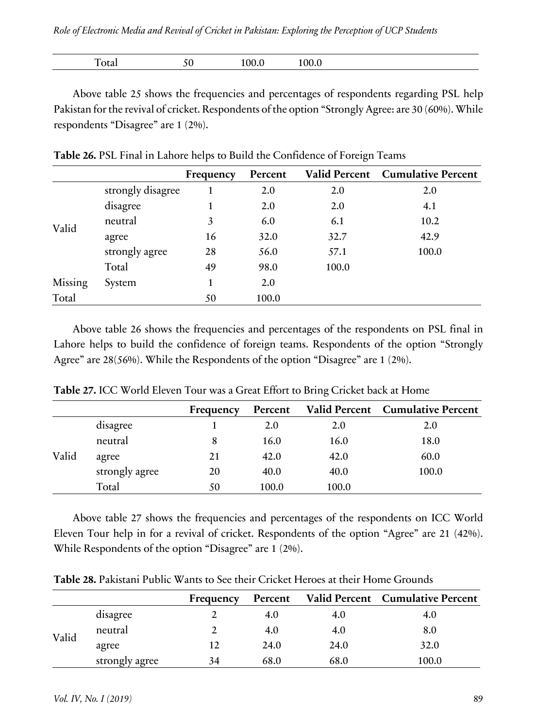| $\overline{\phantom{a}}$<br>$^{\prime\prime}$ | $-1002$ |  |               |
|-----------------------------------------------|---------|--|---------------|
| ں ر<br>-----                                  | TOO'D   |  | <b>r</b> otal |

Above table 25 shows the frequencies and percentages of respondents regarding PSL help Pakistan for the revival of cricket. Respondents of the option "Strongly Agree: are 30 (60%). While respondents "Disagree" are 1 (2%).

|         |                   | Frequency | Percent |       | Valid Percent Cumulative Percent |
|---------|-------------------|-----------|---------|-------|----------------------------------|
|         | strongly disagree |           | 2.0     | 2.0   | 2.0                              |
|         | disagree          |           | 2.0     | 2.0   | 4.1                              |
|         | neutral           | 3         | 6.0     | 6.1   | 10.2                             |
| Valid   | agree             | 16        | 32.0    | 32.7  | 42.9                             |
|         | strongly agree    | 28        | 56.0    | 57.1  | 100.0                            |
|         | Total             | 49        | 98.0    | 100.0 |                                  |
| Missing | System            |           | 2.0     |       |                                  |
| Total   |                   | 50        | 100.0   |       |                                  |

**Table 26.** PSL Final in Lahore helps to Build the Confidence of Foreign Teams

Above table 26 shows the frequencies and percentages of the respondents on PSL final in Lahore helps to build the confidence of foreign teams. Respondents of the option "Strongly Agree" are 28(56%). While the Respondents of the option "Disagree" are 1 (2%).

|       |                | Frequency | Percent |       | Valid Percent Cumulative Percent |
|-------|----------------|-----------|---------|-------|----------------------------------|
|       | disagree       |           | 2.0     | 2.0   | 2.0                              |
|       | neutral        | 8         | 16.0    | 16.0  | 18.0                             |
| Valid | agree          | 21        | 42.0    | 42.0  | 60.0                             |
|       | strongly agree | 20        | 40.0    | 40.0  | 100.0                            |
|       | Total          | 50        | 100.0   | 100.0 |                                  |

**Table 27.** ICC World Eleven Tour was a Great Effort to Bring Cricket back at Home

Above table 27 shows the frequencies and percentages of the respondents on ICC World Eleven Tour help in for a revival of cricket. Respondents of the option "Agree" are 21 (42%). While Respondents of the option "Disagree" are 1 (2%).

|          |  | Frequency Percent Valid Percent Cumulative Percent |
|----------|--|----------------------------------------------------|
| disagree |  |                                                    |

neutral 2 4.0 4.0 8.0 agree 12 24.0 24.0 32.0 strongly agree 34 68.0 68.0 100.0

**Table 28.** Pakistani Public Wants to See their Cricket Heroes at their Home Grounds

Valid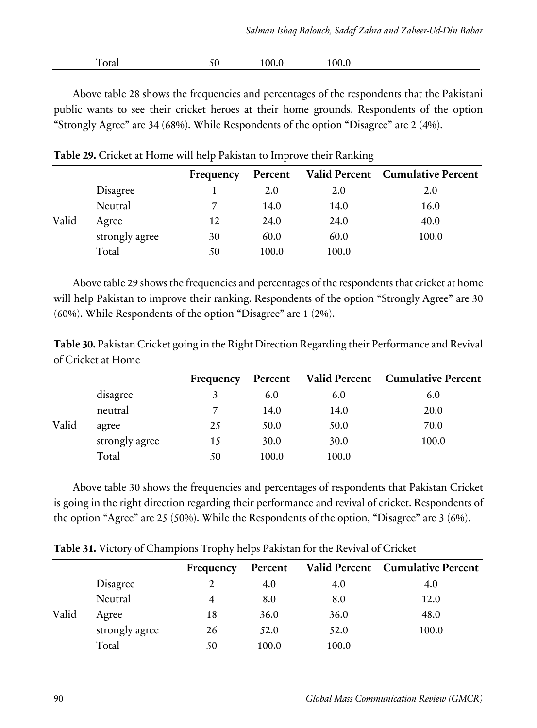| $\sim$ $\sim$ $\sim$<br>$\Omega$<br>00<br>1 otal<br>טי<br>100.0<br>----- |
|--------------------------------------------------------------------------|
|--------------------------------------------------------------------------|

Above table 28 shows the frequencies and percentages of the respondents that the Pakistani public wants to see their cricket heroes at their home grounds. Respondents of the option "Strongly Agree" are 34 (68%). While Respondents of the option "Disagree" are 2 (4%).

|       |                | Frequency | Percent |       | Valid Percent Cumulative Percent |
|-------|----------------|-----------|---------|-------|----------------------------------|
|       | Disagree       |           | 2.0     | 2.0   | 2.0                              |
|       | Neutral        |           | 14.0    | 14.0  | 16.0                             |
| Valid | Agree          | 12        | 24.0    | 24.0  | 40.0                             |
|       | strongly agree | 30        | 60.0    | 60.0  | 100.0                            |
|       | Total          | 50        | 100.0   | 100.0 |                                  |

**Table 29.** Cricket at Home will help Pakistan to Improve their Ranking

Above table 29 shows the frequencies and percentages of the respondents that cricket at home will help Pakistan to improve their ranking. Respondents of the option "Strongly Agree" are 30 (60%). While Respondents of the option "Disagree" are 1 (2%).

**Table 30.** Pakistan Cricket going in the Right Direction Regarding their Performance and Revival of Cricket at Home

|       |                | Frequency | Percent |       | Valid Percent Cumulative Percent |
|-------|----------------|-----------|---------|-------|----------------------------------|
| Valid | disagree       |           | 6.0     | 6.0   | 6.0                              |
|       | neutral        |           | 14.0    | 14.0  | 20.0                             |
|       | agree          | 25        | 50.0    | 50.0  | 70.0                             |
|       | strongly agree | 15        | 30.0    | 30.0  | 100.0                            |
|       | Total          | 50        | 100.0   | 100.0 |                                  |

Above table 30 shows the frequencies and percentages of respondents that Pakistan Cricket is going in the right direction regarding their performance and revival of cricket. Respondents of the option "Agree" are 25 (50%). While the Respondents of the option, "Disagree" are 3 (6%).

**Table 31.** Victory of Champions Trophy helps Pakistan for the Revival of Cricket

|       |                | Frequency | Percent |       | Valid Percent Cumulative Percent |
|-------|----------------|-----------|---------|-------|----------------------------------|
|       | Disagree       |           | 4.0     | 4.0   | 4.0                              |
| Valid | Neutral        |           | 8.0     | 8.0   | 12.0                             |
|       | Agree          | 18        | 36.0    | 36.0  | 48.0                             |
|       | strongly agree | 26        | 52.0    | 52.0  | 100.0                            |
|       | Total          | 50        | 100.0   | 100.0 |                                  |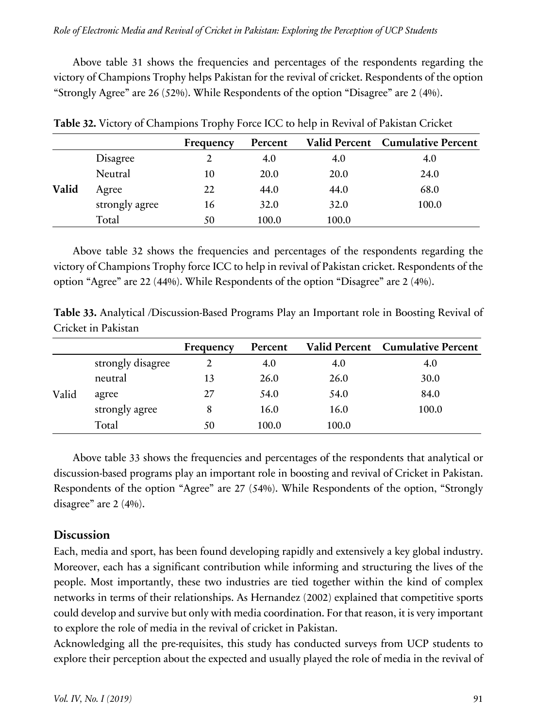Above table 31 shows the frequencies and percentages of the respondents regarding the victory of Champions Trophy helps Pakistan for the revival of cricket. Respondents of the option "Strongly Agree" are 26 (52%). While Respondents of the option "Disagree" are 2 (4%).

|       |                | Frequency | Percent |       | Valid Percent Cumulative Percent |
|-------|----------------|-----------|---------|-------|----------------------------------|
|       | Disagree       |           | 4.0     | 4.0   | 4.0                              |
| Valid | Neutral        | 10        | 20.0    | 20.0  | 24.0                             |
|       | Agree          | 22        | 44.0    | 44.0  | 68.0                             |
|       | strongly agree | 16        | 32.0    | 32.0  | 100.0                            |
|       | Total          | 50        | 100.0   | 100.0 |                                  |

**Table 32.** Victory of Champions Trophy Force ICC to help in Revival of Pakistan Cricket

Above table 32 shows the frequencies and percentages of the respondents regarding the victory of Champions Trophy force ICC to help in revival of Pakistan cricket. Respondents of the option "Agree" are 22 (44%). While Respondents of the option "Disagree" are 2 (4%).

**Table 33.** Analytical /Discussion-Based Programs Play an Important role in Boosting Revival of Cricket in Pakistan

|       |                   | Frequency | Percent |       | Valid Percent Cumulative Percent |
|-------|-------------------|-----------|---------|-------|----------------------------------|
|       | strongly disagree |           | 4.0     | 4.0   | 4.0                              |
| Valid | neutral           | 13        | 26.0    | 26.0  | 30.0                             |
|       | agree             | 27        | 54.0    | 54.0  | 84.0                             |
|       | strongly agree    | 8         | 16.0    | 16.0  | 100.0                            |
|       | Total             | 50        | 100.0   | 100.0 |                                  |

Above table 33 shows the frequencies and percentages of the respondents that analytical or discussion-based programs play an important role in boosting and revival of Cricket in Pakistan. Respondents of the option "Agree" are 27 (54%). While Respondents of the option, "Strongly disagree" are 2 (4%).

# **Discussion**

Each, media and sport, has been found developing rapidly and extensively a key global industry. Moreover, each has a significant contribution while informing and structuring the lives of the people. Most importantly, these two industries are tied together within the kind of complex networks in terms of their relationships. As Hernandez (2002) explained that competitive sports could develop and survive but only with media coordination. For that reason, it is very important to explore the role of media in the revival of cricket in Pakistan.

Acknowledging all the pre-requisites, this study has conducted surveys from UCP students to explore their perception about the expected and usually played the role of media in the revival of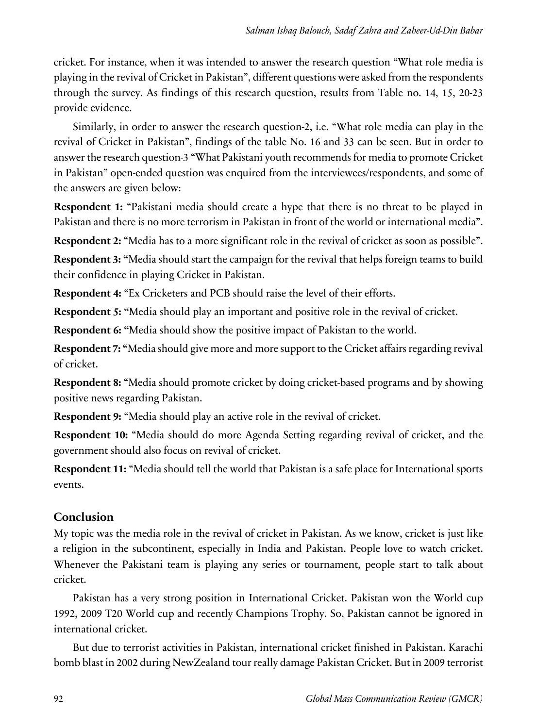cricket. For instance, when it was intended to answer the research question "What role media is playing in the revival of Cricket in Pakistan", different questions were asked from the respondents through the survey. As findings of this research question, results from Table no. 14, 15, 20-23 provide evidence.

Similarly, in order to answer the research question-2, i.e. "What role media can play in the revival of Cricket in Pakistan", findings of the table No. 16 and 33 can be seen. But in order to answer the research question-3 "What Pakistani youth recommends for media to promote Cricket in Pakistan" open-ended question was enquired from the interviewees/respondents, and some of the answers are given below:

**Respondent 1:** "Pakistani media should create a hype that there is no threat to be played in Pakistan and there is no more terrorism in Pakistan in front of the world or international media".

**Respondent 2:** "Media has to a more significant role in the revival of cricket as soon as possible". **Respondent 3: "**Media should start the campaign for the revival that helps foreign teams to build their confidence in playing Cricket in Pakistan.

**Respondent 4:** "Ex Cricketers and PCB should raise the level of their efforts.

**Respondent 5: "**Media should play an important and positive role in the revival of cricket.

**Respondent 6: "**Media should show the positive impact of Pakistan to the world.

**Respondent 7: "**Media should give more and more support to the Cricket affairs regarding revival of cricket.

**Respondent 8:** "Media should promote cricket by doing cricket-based programs and by showing positive news regarding Pakistan.

**Respondent 9:** "Media should play an active role in the revival of cricket.

**Respondent 10:** "Media should do more Agenda Setting regarding revival of cricket, and the government should also focus on revival of cricket.

**Respondent 11:** "Media should tell the world that Pakistan is a safe place for International sports events.

# **Conclusion**

My topic was the media role in the revival of cricket in Pakistan. As we know, cricket is just like a religion in the subcontinent, especially in India and Pakistan. People love to watch cricket. Whenever the Pakistani team is playing any series or tournament, people start to talk about cricket.

Pakistan has a very strong position in International Cricket. Pakistan won the World cup 1992, 2009 T20 World cup and recently Champions Trophy. So, Pakistan cannot be ignored in international cricket.

But due to terrorist activities in Pakistan, international cricket finished in Pakistan. Karachi bomb blast in 2002 during NewZealand tour really damage Pakistan Cricket. But in 2009 terrorist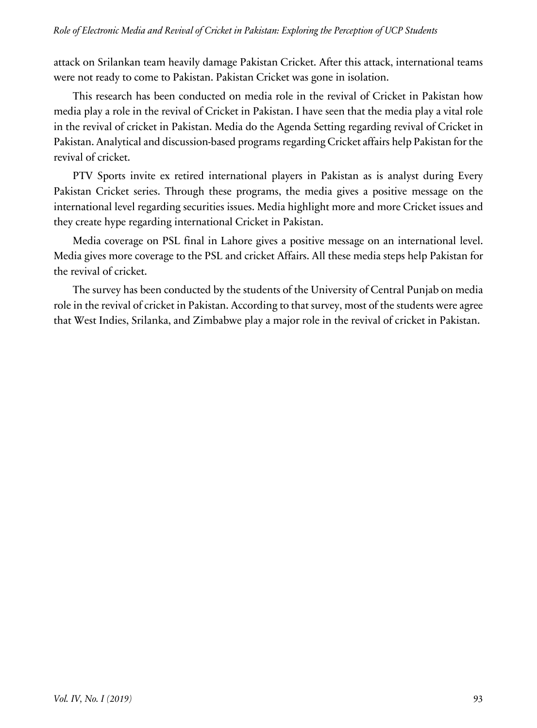attack on Srilankan team heavily damage Pakistan Cricket. After this attack, international teams were not ready to come to Pakistan. Pakistan Cricket was gone in isolation.

This research has been conducted on media role in the revival of Cricket in Pakistan how media play a role in the revival of Cricket in Pakistan. I have seen that the media play a vital role in the revival of cricket in Pakistan. Media do the Agenda Setting regarding revival of Cricket in Pakistan. Analytical and discussion-based programs regarding Cricket affairs help Pakistan for the revival of cricket.

PTV Sports invite ex retired international players in Pakistan as is analyst during Every Pakistan Cricket series. Through these programs, the media gives a positive message on the international level regarding securities issues. Media highlight more and more Cricket issues and they create hype regarding international Cricket in Pakistan.

Media coverage on PSL final in Lahore gives a positive message on an international level. Media gives more coverage to the PSL and cricket Affairs. All these media steps help Pakistan for the revival of cricket.

The survey has been conducted by the students of the University of Central Punjab on media role in the revival of cricket in Pakistan. According to that survey, most of the students were agree that West Indies, Srilanka, and Zimbabwe play a major role in the revival of cricket in Pakistan.